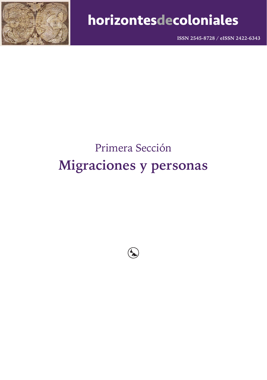

**ISSN 2545-8728 / eISSN 2422-6343**

# Primera Sección **Migraciones y personas**

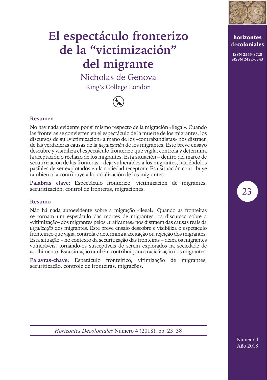

**horizontes decoloniales ISSN 2545-8728 eISSN 2422-6343**

# **El espectáculo fronterizo de la "victimización" del migrante**

Nicholas de Genova King's College London



### **Resumen**

No hay nada evidente por sí mismo respecto de la migración «ilegal». Cuando las fronteras se convierten en el espectáculo de la muerte de los migrantes, los discursos de su «victimización» a mano de los «contrabandistas» nos distraen de las verdaderas causas de la *ilegalización* de los migrantes. Este breve ensayo descubre y visibiliza el espectáculo fronterizo que vigila, controla y determina la aceptación o rechazo de los migrantes. Esta situación – dentro del marco de secutirización de las fronteras – deja vulnerables a los migrantes, haciéndolos pasibles de ser explotados en la sociedad receptora. Esa situación contribuye también a la contribuye a la racialización de los migrantes.

**Palabras clave**: Espectáculo fronterizo, victimización de migrantes, securitización, control de fronteras, migraciones.

#### **Resumo**

Não há nada autoevidente sobre a migração «ilegal». Quando as fronteiras se tornam um espetáculo das mortes de migrantes, os discursos sobre a «vitimização» dos migrantes pelos «traficantes» nos distraem das causas reais da *ilegalização* dos migrantes. Este breve ensaio descobre e visibiliza o espetáculo fronteiriço que vigia, controla e determina a aceitação ou rejeição dos migrantes. Esta situação – no contexto da securitização das fronteiras – deixa os migrantes vulneráveis, tornando-os susceptíveis de serem explorados na sociedade de acolhimento. Esta situação também contribui para a racialização dos migrantes.

**Palavras-chave**: Espetáculo fronteiriço, vitimização de migrantes, securitização, controle de fronteiras, migrações.



*Horizontes Decoloniales* Número 4 (2018): pp. 23–38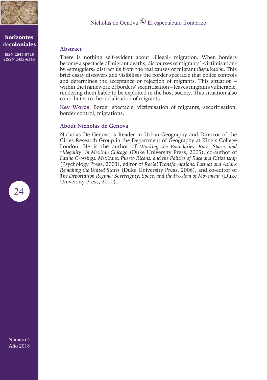

**ISSN 2545-8728 eISSN 2422-6343**

### **Abstract**

There is nothing self-evident about «illegal» migration. When borders become a spectacle of migrant deaths, discourses of migrants' «victimisation» by «smugglers» distract us from the real causes of migrant *illegalisation*. This brief essay discovers and visibilises the border spectacle that police controls and determines the acceptance or rejection of migrants. This situation – within the framework of borders' securitisation – leaves migrants vulnerable, rendering them liable to be exploited in the host society. This situation also contributes to the racialisation of migrants.

**Key Words**: Border spectacle, victimisation of migrants, securitisation, border control, migrations.

#### **About Nicholas de Genova**

Nicholas De Genova is Reader in Urban Geography and Director of the Cities Research Group in the Department of Geography at King's College London. He is the author of *Working the Boundaries: Race, Space, and "Illegality" in Mexican Chicago* (Duke University Press, 2005), co-author of *Latino Crossings: Mexicans, Puerto Ricans, and the Politics of Race and Citizenship* (Psychology Press, 2003), editor of *Racial Transformations: Latinos and Asians Remaking the United States* (Duke University Press, 2006), and co-editor of *The Deportation Regime: Sovereignty, Space, and the Freedom of Movement* (Duke University Press, 2010).

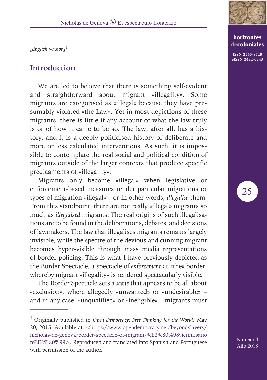*[English version]*<sup>1</sup>

## **Introduction**

We are led to believe that there is something self-evident and straightforward about migrant «illegality». Some migrants are categorised as «illegal» because they have presumably violated «the Law». Yet in most depictions of these migrants, there is little if any account of what the law truly is or of how it came to be so. The law, after all, has a history, and it is a deeply politicised history of deliberate and more or less calculated interventions. As such, it is impossible to contemplate the real social and political condition of migrants outside of the larger contexts that produce specific predicaments of «illegality».

Migrants only become «illegal» when legislative or enforcement-based measures render particular migrations or types of migration «illegal» – or in other words, *illegalise* them. From this standpoint, there are not really «illegal» migrants so much as *illegalised* migrants. The real origins of such illegalisations are to be found in the deliberations, debates, and decisions of lawmakers. The law that illegalises migrants remains largely invisible, while the spectre of the devious and cunning migrant becomes hyper-visible through mass media representations of border policing. This is what I have previously depicted as the Border Spectacle, a spectacle of *enforcement* at «the» border, whereby migrant «illegality» is rendered spectacularly visible.

The Border Spectacle sets a *scene* that appears to be all about «exclusion», where allegedly «unwanted» or «undesirable» – and in any case, «unqualified» or «ineligible» – migrants must



## **horizontes decoloniales**

**ISSN 2545-8728 eISSN 2422-6343**

25

<sup>1</sup> Originally published in *Open Democracy: Free Thinking for the World*, May 20, 2015. Available at: <https://www.opendemocracy.net/beyondslavery/ nicholas-de-genova/border-spectacle-of-migrant-%E2%80%98victimisatio n%E2%80%99>. Reproduced and translated into Spanish and Portuguese with permission of the author.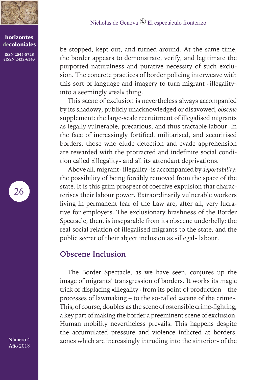

**ISSN 2545-8728 eISSN 2422-6343**

26

be stopped, kept out, and turned around. At the same time, the border appears to demonstrate, verify, and legitimate the purported naturalness and putative necessity of such exclusion. The concrete practices of border policing interweave with this sort of language and imagery to turn migrant «illegality» into a seemingly «real» thing.

This scene of exclusion is nevertheless always accompanied by its shadowy, publicly unacknowledged or disavowed, *obscene* supplement: the large-scale recruitment of illegalised migrants as legally vulnerable, precarious, and thus tractable labour. In the face of increasingly fortified, militarised, and securitised borders, those who elude detection and evade apprehension are rewarded with the protracted and indefinite social condition called «illegality» and all its attendant deprivations.

Above all, migrant «illegality» is accompanied by *deportability*: the possibility of being forcibly removed from the space of the state. It is this grim prospect of coercive expulsion that characterises their labour power. Extraordinarily vulnerable workers living in permanent fear of the Law are, after all, very lucrative for employers. The exclusionary brashness of the Border Spectacle, then, is inseparable from its obscene underbelly: the real social relation of illegalised migrants to the state, and the public secret of their abject inclusion as «illegal» labour.

# **Obscene Inclusion**

The Border Spectacle, as we have seen, conjures up the image of migrants' transgression of borders. It works its magic trick of displacing «illegality» from its point of production – the processes of lawmaking – to the so-called «scene of the crime». This, of course, doubles as the scene of ostensible crime-fighting, a key part of making the border a preeminent scene of exclusion. Human mobility nevertheless prevails. This happens despite the accumulated pressure and violence inflicted at borders, zones which are increasingly intruding into the «interior» of the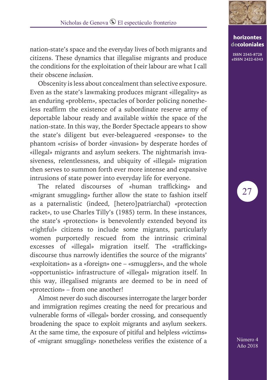nation-state's space and the everyday lives of both migrants and citizens. These dynamics that illegalise migrants and produce the conditions for the exploitation of their labour are what I call their obscene *inclusion*.

Obscenity is less about concealment than selective exposure. Even as the state's lawmaking produces migrant «illegality» as an enduring «problem», spectacles of border policing nonetheless reaffirm the existence of a subordinate reserve army of deportable labour ready and available *within* the space of the nation-state. In this way, the Border Spectacle appears to show the state's diligent but ever-beleaguered «response» to the phantom «crisis» of border «invasion» by desperate hordes of «illegal» migrants and asylum seekers. The nightmarish invasiveness, relentlessness, and ubiquity of «illegal» migration then serves to summon forth ever more intense and expansive intrusions of state power into everyday life for everyone.

The related discourses of «human trafficking» and «migrant smuggling» further allow the state to fashion itself as a paternalistic (indeed, [hetero]patriarchal) «protection racket», to use Charles Tilly's (1985) term. In these instances, the state's «protection» is benevolently extended beyond its «rightful» citizens to include some migrants, particularly women purportedly rescued from the intrinsic criminal excesses of «illegal» migration itself. The «trafficking» discourse thus narrowly identifies the source of the migrants' «exploitation» as a «foreign» one – «smugglers», and the whole «opportunistic» infrastructure of «illegal» migration itself. In this way, illegalised migrants are deemed to be in need of «protection» – from one another!

Almost never do such discourses interrogate the larger border and immigration regimes creating the need for precarious and vulnerable forms of «illegal» border crossing, and consequently broadening the space to exploit migrants and asylum seekers. At the same time, the exposure of pitiful and helpless «victims» of «migrant smuggling» nonetheless verifies the existence of a



## **horizontes decoloniales**

**ISSN 2545-8728 eISSN 2422-6343**

27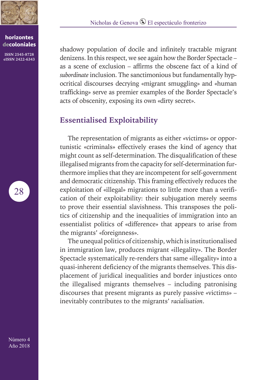

**ISSN 2545-8728 eISSN 2422-6343**

28

shadowy population of docile and infinitely tractable migrant denizens. In this respect, we see again how the Border Spectacle – as a scene of exclusion – affirms the obscene fact of a kind of *subordinate* inclusion. The sanctimonious but fundamentally hypocritical discourses decrying «migrant smuggling» and «human trafficking» serve as premier examples of the Border Spectacle's acts of obscenity, exposing its own «dirty secret».

# **Essentialised Exploitability**

The representation of migrants as either «victims» or opportunistic «criminals» effectively erases the kind of agency that might count as self-determination. The disqualification of these illegalised migrants from the capacity for self-determination furthermore implies that they are incompetent for self-government and democratic citizenship. This framing effectively reduces the exploitation of «illegal» migrations to little more than a verification of their exploitability: their subjugation merely seems to prove their essential slavishness. This transposes the politics of citizenship and the inequalities of immigration into an essentialist politics of «difference» that appears to arise from the migrants' «foreignness».

The unequal politics of citizenship, which is institutionalised in immigration law, produces migrant «illegality». The Border Spectacle systematically re-renders that same «illegality» into a quasi-inherent deficiency of the migrants themselves. This displacement of juridical inequalities and border injustices onto the illegalised migrants themselves – including patronising discourses that present migrants as purely passive «victims» – inevitably contributes to the migrants' *racialisation*.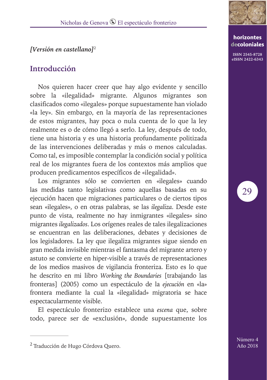## *[Versión en castellano]*<sup>2</sup>

# **Introducción**

Nos quieren hacer creer que hay algo evidente y sencillo sobre la «ilegalidad» migrante. Algunos migrantes son clasificados como «ilegales» porque supuestamente han violado «la ley». Sin embargo, en la mayoría de las representaciones de estos migrantes, hay poca o nula cuenta de lo que la ley realmente es o de cómo llegó a serlo. La ley, después de todo, tiene una historia y es una historia profundamente politizada de las intervenciones deliberadas y más o menos calculadas. Como tal, es imposible contemplar la condición social y política real de los migrantes fuera de los contextos más amplios que producen predicamentos específicos de «ilegalidad».

Los migrantes sólo se convierten en «ilegales» cuando las medidas tanto legislativas como aquellas basadas en su ejecución hacen que migraciones particulares o de ciertos tipos sean «ilegales», o en otras palabras, se las *ilegaliza*. Desde este punto de vista, realmente no hay inmigrantes «ilegales» sino migrantes *ilegalizados*. Los orígenes reales de tales ilegalizaciones se encuentran en las deliberaciones, debates y decisiones de los legisladores. La ley que ilegaliza migrantes sigue siendo en gran medida invisible mientras el fantasma del migrante artero y astuto se convierte en hiper-visible a través de representaciones de los medios masivos de vigilancia fronteriza. Esto es lo que he descrito en mi libro *Working the Boundaries* [trabajando las fronteras] (2005) como un espectáculo de la *ejecución* en «la» frontera mediante la cual la «ilegalidad» migratoria se hace espectacularmente visible.

El espectáculo fronterizo establece una *escena* que, sobre todo, parece ser de «exclusión», donde supuestamente los



## **horizontes decoloniales**

**ISSN 2545-8728 eISSN 2422-6343**

29

<sup>&</sup>lt;sup>2</sup> Traducción de Hugo Córdova Quero.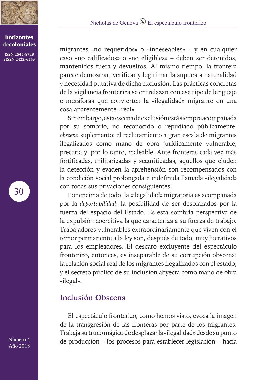

# Nicholas de Genova <sup>®</sup> El espectáculo fronterizo

#### **horizontes decoloniales**

**ISSN 2545-8728 eISSN 2422-6343** migrantes «no requeridos» o «indeseables» – y en cualquier caso «no calificados» o «no eligibles» – deben ser detenidos, mantenidos fuera y devueltos. Al mismo tiempo, la frontera parece demostrar, verificar y legitimar la supuesta naturalidad y necesidad putativa de dicha exclusión. Las prácticas concretas de la vigilancia fronteriza se entrelazan con ese tipo de lenguaje e metáforas que convierten la «ilegalidad» migrante en una cosa aparentemente «real».

Sin embargo, esta escena de exclusión está siempre acompañada por su sombrío, no reconocido o repudiado públicamente, *obsceno* suplemento: el reclutamiento a gran escala de migrantes ilegalizados como mano de obra jurídicamente vulnerable, precaria y, por lo tanto, maleable. Ante fronteras cada vez más fortificadas, militarizadas y securitizadas, aquellos que eluden la detección y evaden la aprehensión son recompensados con la condición social prolongada e indefinida llamada «ilegalidad» con todas sus privaciones consiguientes.

Por encima de todo, la «ilegalidad» migratoria es acompañada por la *deportabilidad*: la posibilidad de ser desplazados por la fuerza del espacio del Estado. Es esta sombría perspectiva de la expulsión coercitiva la que caracteriza a su fuerza de trabajo. Trabajadores vulnerables extraordinariamente que viven con el temor permanente a la ley son, después de todo, muy lucrativos para los empleadores. El descaro excluyente del espectáculo fronterizo, entonces, es inseparable de su corrupción obscena: la relación social real de los migrantes ilegalizados con el estado, y el secreto público de su inclusión abyecta como mano de obra «ilegal».

## **Inclusión Obscena**

El espectáculo fronterizo, como hemos visto, evoca la imagen de la transgresión de las fronteras por parte de los migrantes. Trabaja su truco mágico de desplazar la «ilegalidad» desde su punto de producción – los procesos para establecer legislación – hacia

30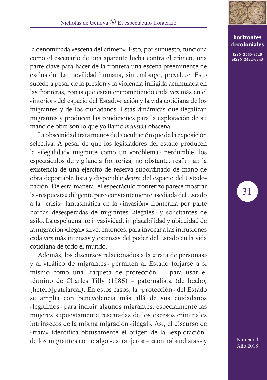la denominada «escena del crimen». Esto, por supuesto, funciona como el escenario de una aparente lucha contra el crimen, una parte clave para hacer de la frontera una escena preeminente de exclusión. La movilidad humana, sin embargo, prevalece. Esto sucede a pesar de la presión y la violencia infligida acumulada en las fronteras, zonas que están entrometiendo cada vez más en el «interior» del espacio del Estado-nación y la vida cotidiana de los migrantes y de los ciudadanos. Estas dinámicas que ilegalizan migrantes y producen las condiciones para la explotación de su mano de obra son lo que yo llamo *inclusión* obscena.

La obscenidad trata menos de la ocultación que de la exposición selectiva. A pesar de que los legisladores del estado producen la «ilegalidad» migrante como un «problema» perdurable, los espectáculos de vigilancia fronteriza, no obstante, reafirman la existencia de una ejército de reserva subordinado de mano de obra deportable lista y disponible *dentro* del espacio del Estadonación. De esta manera, el espectáculo fronterizo parece mostrar la «respuesta» diligente pero constantemente asediada del Estado a la «crisis» fantasmática de la «invasión» fronteriza por parte hordas desesperadas de migrantes «ilegales» y solicitantes de asilo. La espeluznante invasividad, implacabilidad y ubicuidad de la migración «ilegal» sirve, entonces, para invocar a las intrusiones cada vez más intensas y extensas del poder del Estado en la vida cotidiana de todo el mundo.

Además, los discursos relacionados a la «trata de personas» y al «tráfico de migrantes» permiten al Estado forjarse a sí mismo como una «raqueta de protección» – para usar el término de Charles Tilly (1985) – paternalista (de hecho, [hetero]patriarcal). En estos casos, la «protección» del Estado se amplía con benevolencia más allá de sus ciudadanos «legítimos» para incluir algunos migrantes, especialmente las mujeres supuestamente rescatadas de los excesos criminales intrínsecos de la misma migración «ilegal». Así, el discurso de «trata» identifica obtusamente el origen de la «explotación» de los migrantes como algo «extranjero» – «contrabandistas» y



## **horizontes decoloniales**

**ISSN 2545-8728 eISSN 2422-6343**

31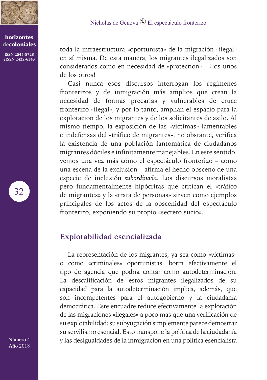

**ISSN 2545-8728 eISSN 2422-6343**

32

toda la infraestructura «oportunista» de la migración «ilegal» en sí misma. De esta manera, los migrantes ilegalizados son considerados como en necesidad de «protection» - ilos unos de los otros!

Casi nunca esos discursos interrogan los regímenes fronterizos y de inmigración más amplios que crean la necesidad de formas precarias y vulnerables de cruce fronterizo «ilegal», y por lo tanto, amplían el espacio para la explotacion de los migrantes y de los solicitantes de asilo. Al mismo tiempo, la exposición de las «víctimas» lamentables e indefensas del «tráfico de migrantes», no obstante, verifica la existencia de una población fantomática de ciudadanos migrantes dóciles e infinitamente manejables. En este sentido, vemos una vez más cómo el espectáculo fronterizo – como una escena de la exclusion – afirma el hecho obsceno de una especie de inclusión *subordinada*. Los discursos moralistas pero fundamentalmente hipócritas que critican el «tráfico de migrantes» y la «trata de personas» sirven como ejemplos principales de los actos de la obscenidad del espectáculo fronterizo, exponiendo su propio «secreto sucio».

# **Explotabilidad esencializada**

La representación de los migrantes, ya sea como «víctimas» o como «criminales» oportunistas, borra efectivamente el tipo de agencia que podría contar como autodeterminación. La descalificación de estos migrantes ilegalizados de su capacidad para la autodeterminación implica, además, que son incompetentes para el autogobierno y la ciudadanía democrática. Este encuadre reduce efectivamente la explotación de las migraciones «ilegales» a poco más que una verificación de su explotabilidad: su subyugación simplemente parece demostrar su servilismo esencial. Esto transpone la política de la ciudadanía y las desigualdades de la inmigración en una política esencialista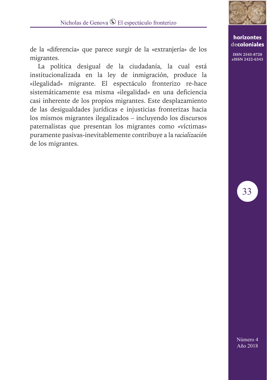

**ISSN 2545-8728 eISSN 2422-6343**

33

de la «diferencia» que parece surgir de la «extranjería» de los migrantes.

La política desigual de la ciudadanía, la cual está institucionalizada en la ley de inmigración, produce la «ilegalidad» migrante. El espectáculo fronterizo re-hace sistemáticamente esa misma «ilegalidad» en una deficiencia casi inherente de los propios migrantes. Este desplazamiento de las desigualdades jurídicas e injusticias fronterizas hacia los mismos migrantes ilegalizados – incluyendo los discursos paternalistas que presentan los migrantes como «víctimas» puramente pasivas-inevitablemente contribuye a la *racialización* de los migrantes.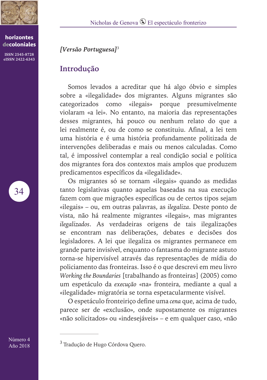

**ISSN 2545-8728 eISSN 2422-6343**

34

Nicholas de Genova  $\mathbb Q$  El espectáculo fronterizo

# *[Versão Portuguesa]*<sup>3</sup>

## **Introdução**

Somos levados a acreditar que há algo óbvio e simples sobre a «ilegalidade» dos migrantes. Alguns migrantes são categorizados como «ilegais» porque presumivelmente violaram «a lei». No entanto, na maioria das representações desses migrantes, há pouco ou nenhum relato do que a lei realmente é, ou de como se constituiu. Afinal, a lei tem uma história e é uma história profundamente politizada de intervenções deliberadas e mais ou menos calculadas. Como tal, é impossível contemplar a real condição social e política dos migrantes fora dos contextos mais amplos que produzem predicamentos específicos da «ilegalidade».

Os migrantes só se tornam «ilegais» quando as medidas tanto legislativas quanto aquelas baseadas na sua execução fazem com que migrações específicas ou de certos tipos sejam «ilegais» – ou, em outras palavras, as *ilegaliza*. Deste ponto de vista, não há realmente migrantes «ilegais», mas migrantes *ilegalizados*. As verdadeiras origens de tais ilegalizações se encontram nas deliberações, debates e decisões dos legisladores. A lei que ilegaliza os migrantes permanece em grande parte invisível, enquanto o fantasma do migrante astuto torna-se hipervisível através das representações de mídia do policiamento das fronteiras. Isso é o que descrevi em meu livro *Working the Boundaries* [trabalhando as fronteiras] (2005) como um espetáculo da *execução* «na» fronteira, mediante a qual a «ilegalidade» migratória se torna espetacularmente visível.

O espetáculo fronteiriço define uma *cena* que, acima de tudo, parece ser de «exclusão», onde supostamente os migrantes «não solicitados» ou «indesejáveis» – e em qualquer caso, «não

<sup>3</sup> Tradução de Hugo Córdova Quero.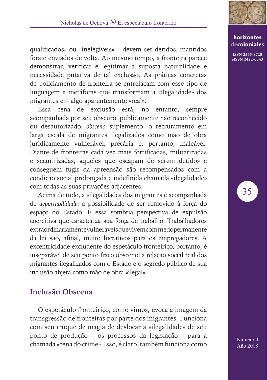

qualificados» ou «inelegíveis» – devem ser detidos, mantidos fora e enviados de volta. Ao mesmo tempo, a fronteira parece demonstrar, verificar e legitimar a suposta naturalidade e necessidade putativa de tal exclusão. As práticas concretas de policiamento de fronteira se entrelaçam com esse tipo de linguagem e metáforas que transformam a «ilegalidade» dos migrantes em algo aparentemente «real».

Essa cena de exclusão está, no entanto, sempre acompanhada por seu obscuro, publicamente não reconhecido ou desautorizado, *obsceno* suplemento: o recrutamento em larga escala de migrantes ilegalizados como mão de obra juridicamente vulnerável, precária e, portanto, maleável. Diante de fronteiras cada vez mais fortificadas, militarizadas e securitizadas, aqueles que escapam de serem detidos e conseguem fugir da apreensão são recompensados com a condição social prolongada e indefinida chamada «ilegalidade» com todas as suas privações adjacentes.

Acima de tudo, a «ilegalidade» dos migrantes é acompanhada de *deportabilidade*: a possibilidade de ser removido à força do espaço do Estado. É essa sombria perspectiva de expulsão coercitiva que caracteriza sua força de trabalho. Trabalhadores extraordinariamente vulneráveis que vivem com medo permanente da lei são, afinal, muito lucrativos para os empregadores. A excentricidade excludente do espetáculo fronteiriço, portanto, é inseparável de seu ponto fraco obsceno: a relação social real dos migrantes ilegalizados com o Estado e o segredo público de sua inclusão abjeta como mão de obra «ilegal».

## **Inclusão Obscena**

O espetáculo fronteiriço, como vimos, evoca a imagem da transgressão de fronteiras por parte dos migrantes. Funciona com seu truque de magia de deslocar a «ilegalidade» de seu ponto de produção – os processos da legislação – para a chamada «cena do crime». Isso, é claro, também funciona como

## **horizontes decoloniales**

**ISSN 2545-8728 eISSN 2422-6343**

35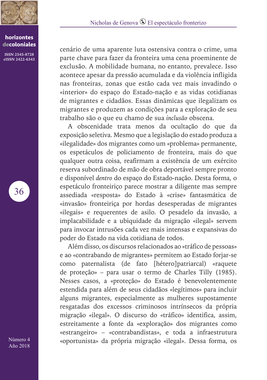

**ISSN 2545-8728 eISSN 2422-6343** Nicholas de Genova <sup>®</sup> El espectáculo fronterizo

cenário de uma aparente luta ostensiva contra o crime, uma parte chave para fazer da fronteira uma cena proeminente de exclusão. A mobilidade humana, no entanto, prevalece. Isso acontece apesar da pressão acumulada e da violência infligida nas fronteiras, zonas que estão cada vez mais invadindo o «interior» do espaço do Estado-nação e as vidas cotidianas de migrantes e cidadãos. Essas dinâmicas que ilegalizam os migrantes e produzem as condições para a exploração de seu trabalho são o que eu chamo de sua *inclusão* obscena.

A obscenidade trata menos da ocultação do que da exposição seletiva. Mesmo que a legislação do estado produza a «ilegalidade» dos migrantes como um «problema» permanente, os espetáculos de policiamento de fronteira, mais do que qualquer outra coisa, reafirmam a existência de um exército reserva subordinado de mão de obra deportável sempre pronto e disponível *dentro* do espaço do Estado-nação. Desta forma, o espetáculo fronteiriço parece mostrar a diligente mas sempre assediada «resposta» do Estado à «crise» fantasmática de «invasão» fronteiriça por hordas desesperadas de migrantes «ilegais» e requerentes de asilo. O pesadelo da invasão, a implacabilidade e a ubiquidade da migração «ilegal» servem para invocar intrusões cada vez mais intensas e expansivas do poder do Estado na vida cotidiana de todos.

Além disso, os discursos relacionados ao «tráfico de pessoas» e ao «contrabando de migrantes» permitem ao Estado forjar-se como paternalista (de fato [hétero]patriarcal) «raquete de proteção» – para usar o termo de Charles Tilly (1985). Nesses casos, a «proteção» do Estado é benevolentemente estendida para além de seus cidadãos «legítimos» para incluir alguns migrantes, especialmente as mulheres supostamente resgatadas dos excessos criminosos intrínsecos da própria migração «ilegal». O discurso do «tráfico» identifica, assim, estreitamente a fonte da «exploração» dos migrantes como «estrangeiro» – «contrabandistas», e toda a infraestrutura «oportunista» da própria migração «ilegal». Dessa forma, os

36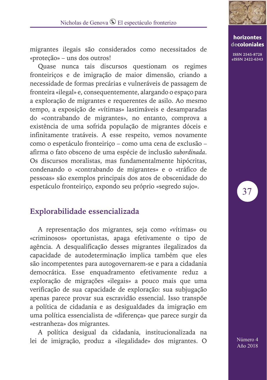

migrantes ilegais são considerados como necessitados de «proteção» – uns dos outros!

Quase nunca tais discursos questionam os regimes fronteiriços e de imigração de maior dimensão, criando a necessidade de formas precárias e vulneráveis de passagem de fronteira «ilegal» e, consequentemente, alargando o espaço para a exploração de migrantes e requerentes de asilo. Ao mesmo tempo, a exposição de «vítimas» lastimáveis e desamparadas do «contrabando de migrantes», no entanto, comprova a existência de uma sofrida população de migrantes dóceis e infinitamente tratáveis. A esse respeito, vemos novamente como o espetáculo fronteiriço – como uma cena de exclusão – afirma o fato obsceno de uma espécie de inclusão *subordinada*. Os discursos moralistas, mas fundamentalmente hipócritas, condenando o «contrabando de migrantes» e o «tráfico de pessoas» são exemplos principais dos atos de obscenidade do espetáculo fronteiriço, expondo seu próprio «segredo sujo».

# **Explorabilidade essencializada**

A representação dos migrantes, seja como «vítimas» ou «criminosos» oportunistas, apaga efetivamente o tipo de agência. A desqualificação desses migrantes ilegalizados da capacidade de autodeterminação implica também que eles são incompetentes para autogovernarem-se e para a cidadania democrática. Esse enquadramento efetivamente reduz a exploração de migrações «ilegais» a pouco mais que uma verificação de sua capacidade de exploração: sua subjugação apenas parece provar sua escravidão essencial. Isso transpõe a política de cidadania e as desigualdades da imigração em uma política essencialista de «diferença» que parece surgir da «estranheza» dos migrantes.

A política desigual da cidadania, institucionalizada na lei de imigração, produz a «ilegalidade» dos migrantes. O

**horizontes decoloniales**

**ISSN 2545-8728 eISSN 2422-6343**

37